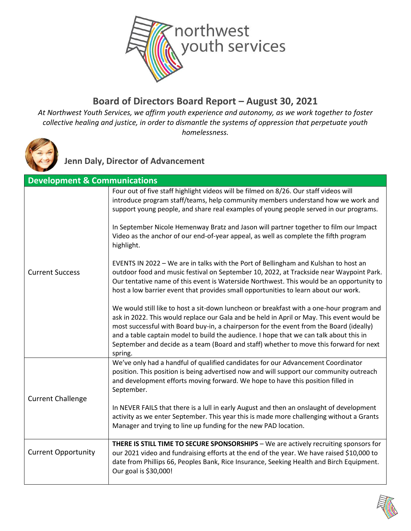

#### **Board of Directors Board Report – August 30, 2021**

*At Northwest Youth Services, we affirm youth experience and autonomy, as we work together to foster collective healing and justice, in order to dismantle the systems of oppression that perpetuate youth homelessness.*



**Jenn Daly, Director of Advancement**

| <b>Development &amp; Communications</b> |                                                                                                                                                                                                                                                                                                                                                                                                                                                                                 |
|-----------------------------------------|---------------------------------------------------------------------------------------------------------------------------------------------------------------------------------------------------------------------------------------------------------------------------------------------------------------------------------------------------------------------------------------------------------------------------------------------------------------------------------|
|                                         | Four out of five staff highlight videos will be filmed on 8/26. Our staff videos will<br>introduce program staff/teams, help community members understand how we work and<br>support young people, and share real examples of young people served in our programs.                                                                                                                                                                                                              |
|                                         | In September Nicole Hemenway Bratz and Jason will partner together to film our Impact<br>Video as the anchor of our end-of-year appeal, as well as complete the fifth program<br>highlight.                                                                                                                                                                                                                                                                                     |
| <b>Current Success</b>                  | EVENTS IN 2022 - We are in talks with the Port of Bellingham and Kulshan to host an<br>outdoor food and music festival on September 10, 2022, at Trackside near Waypoint Park.<br>Our tentative name of this event is Waterside Northwest. This would be an opportunity to<br>host a low barrier event that provides small opportunities to learn about our work.                                                                                                               |
|                                         | We would still like to host a sit-down luncheon or breakfast with a one-hour program and<br>ask in 2022. This would replace our Gala and be held in April or May. This event would be<br>most successful with Board buy-in, a chairperson for the event from the Board (ideally)<br>and a table captain model to build the audience. I hope that we can talk about this in<br>September and decide as a team (Board and staff) whether to move this forward for next<br>spring. |
|                                         | We've only had a handful of qualified candidates for our Advancement Coordinator<br>position. This position is being advertised now and will support our community outreach<br>and development efforts moving forward. We hope to have this position filled in<br>September.                                                                                                                                                                                                    |
| <b>Current Challenge</b>                | In NEVER FAILS that there is a lull in early August and then an onslaught of development<br>activity as we enter September. This year this is made more challenging without a Grants<br>Manager and trying to line up funding for the new PAD location.                                                                                                                                                                                                                         |
| <b>Current Opportunity</b>              | THERE IS STILL TIME TO SECURE SPONSORSHIPS - We are actively recruiting sponsors for<br>our 2021 video and fundraising efforts at the end of the year. We have raised \$10,000 to<br>date from Phillips 66, Peoples Bank, Rice Insurance, Seeking Health and Birch Equipment.<br>Our goal is \$30,000!                                                                                                                                                                          |

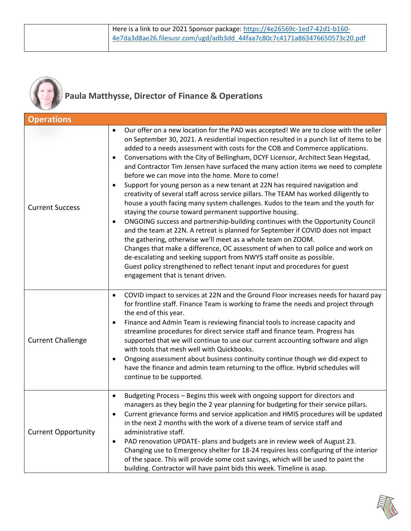

## **Paula Matthysse, Director of Finance & Operations**

| <b>Operations</b>          |                                                                                                                                                                                                                                                                                                                                                                                                                                                                                                                                                                                                                                                                                                                                                                                                                                                                                                                                                                                                                                                                                                                                                                                                                                                                                                                                                                                                  |
|----------------------------|--------------------------------------------------------------------------------------------------------------------------------------------------------------------------------------------------------------------------------------------------------------------------------------------------------------------------------------------------------------------------------------------------------------------------------------------------------------------------------------------------------------------------------------------------------------------------------------------------------------------------------------------------------------------------------------------------------------------------------------------------------------------------------------------------------------------------------------------------------------------------------------------------------------------------------------------------------------------------------------------------------------------------------------------------------------------------------------------------------------------------------------------------------------------------------------------------------------------------------------------------------------------------------------------------------------------------------------------------------------------------------------------------|
| <b>Current Success</b>     | Our offer on a new location for the PAD was accepted! We are to close with the seller<br>$\bullet$<br>on September 30, 2021. A residential inspection resulted in a punch list of items to be<br>added to a needs assessment with costs for the COB and Commerce applications.<br>Conversations with the City of Bellingham, DCYF Licensor, Architect Sean Hegstad,<br>$\bullet$<br>and Contractor Tim Jensen have surfaced the many action items we need to complete<br>before we can move into the home. More to come!<br>Support for young person as a new tenant at 22N has required navigation and<br>$\bullet$<br>creativity of several staff across service pillars. The TEAM has worked diligently to<br>house a youth facing many system challenges. Kudos to the team and the youth for<br>staying the course toward permanent supportive housing.<br>ONGOING success and partnership-building continues with the Opportunity Council<br>$\bullet$<br>and the team at 22N. A retreat is planned for September if COVID does not impact<br>the gathering, otherwise we'll meet as a whole team on ZOOM.<br>Changes that make a difference, OC assessment of when to call police and work on<br>de-escalating and seeking support from NWYS staff onsite as possible.<br>Guest policy strengthened to reflect tenant input and procedures for guest<br>engagement that is tenant driven. |
| <b>Current Challenge</b>   | COVID impact to services at 22N and the Ground Floor increases needs for hazard pay<br>$\bullet$<br>for frontline staff. Finance Team is working to frame the needs and project through<br>the end of this year.<br>Finance and Admin Team is reviewing financial tools to increase capacity and<br>$\bullet$<br>streamline procedures for direct service staff and finance team. Progress has<br>supported that we will continue to use our current accounting software and align<br>with tools that mesh well with Quickbooks.<br>Ongoing assessment about business continuity continue though we did expect to<br>$\bullet$<br>have the finance and admin team returning to the office. Hybrid schedules will<br>continue to be supported.                                                                                                                                                                                                                                                                                                                                                                                                                                                                                                                                                                                                                                                    |
| <b>Current Opportunity</b> | Budgeting Process - Begins this week with ongoing support for directors and<br>$\bullet$<br>managers as they begin the 2 year planning for budgeting for their service pillars.<br>Current grievance forms and service application and HMIS procedures will be updated<br>in the next 2 months with the work of a diverse team of service staff and<br>administrative staff.<br>PAD renovation UPDATE- plans and budgets are in review week of August 23.<br>$\bullet$<br>Changing use to Emergency shelter for 18-24 requires less configuring of the interior<br>of the space. This will provide some cost savings, which will be used to paint the<br>building. Contractor will have paint bids this week. Timeline is asap.                                                                                                                                                                                                                                                                                                                                                                                                                                                                                                                                                                                                                                                                  |

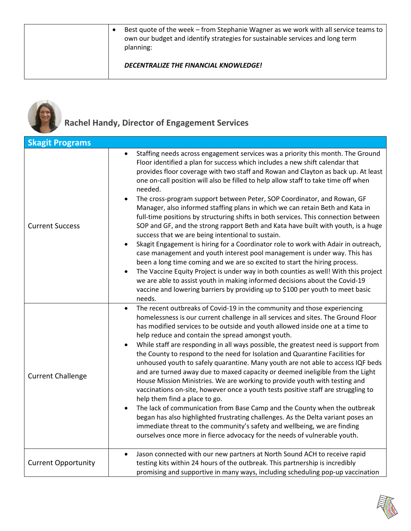|  | Best quote of the week – from Stephanie Wagner as we work with all service teams to<br>own our budget and identify strategies for sustainable services and long term<br>planning: |
|--|-----------------------------------------------------------------------------------------------------------------------------------------------------------------------------------|
|  | DECENTRALIZE THE FINANCIAL KNOWLEDGE!                                                                                                                                             |



# **Rachel Handy, Director of Engagement Services**

| <b>Skagit Programs</b>     |                                                                                                                                                                                                                                                                                                                                                                                                                                                                                                                                                                                                                                                                                                                                                                                                                                                                                                                                                                                                                                                                                                                                                                                                                                                                                                                           |
|----------------------------|---------------------------------------------------------------------------------------------------------------------------------------------------------------------------------------------------------------------------------------------------------------------------------------------------------------------------------------------------------------------------------------------------------------------------------------------------------------------------------------------------------------------------------------------------------------------------------------------------------------------------------------------------------------------------------------------------------------------------------------------------------------------------------------------------------------------------------------------------------------------------------------------------------------------------------------------------------------------------------------------------------------------------------------------------------------------------------------------------------------------------------------------------------------------------------------------------------------------------------------------------------------------------------------------------------------------------|
| <b>Current Success</b>     | Staffing needs across engagement services was a priority this month. The Ground<br>$\bullet$<br>Floor identified a plan for success which includes a new shift calendar that<br>provides floor coverage with two staff and Rowan and Clayton as back up. At least<br>one on-call position will also be filled to help allow staff to take time off when<br>needed.<br>The cross-program support between Peter, SOP Coordinator, and Rowan, GF<br>$\bullet$<br>Manager, also informed staffing plans in which we can retain Beth and Kata in<br>full-time positions by structuring shifts in both services. This connection between<br>SOP and GF, and the strong rapport Beth and Kata have built with youth, is a huge<br>success that we are being intentional to sustain.<br>Skagit Engagement is hiring for a Coordinator role to work with Adair in outreach,<br>$\bullet$<br>case management and youth interest pool management is under way. This has<br>been a long time coming and we are so excited to start the hiring process.<br>The Vaccine Equity Project is under way in both counties as well! With this project<br>$\bullet$<br>we are able to assist youth in making informed decisions about the Covid-19<br>vaccine and lowering barriers by providing up to \$100 per youth to meet basic<br>needs. |
| <b>Current Challenge</b>   | The recent outbreaks of Covid-19 in the community and those experiencing<br>$\bullet$<br>homelessness is our current challenge in all services and sites. The Ground Floor<br>has modified services to be outside and youth allowed inside one at a time to<br>help reduce and contain the spread amongst youth.<br>While staff are responding in all ways possible, the greatest need is support from<br>the County to respond to the need for Isolation and Quarantine Facilities for<br>unhoused youth to safely quarantine. Many youth are not able to access IQF beds<br>and are turned away due to maxed capacity or deemed ineligible from the Light<br>House Mission Ministries. We are working to provide youth with testing and<br>vaccinations on-site, however once a youth tests positive staff are struggling to<br>help them find a place to go.<br>The lack of communication from Base Camp and the County when the outbreak<br>began has also highlighted frustrating challenges. As the Delta variant poses an<br>immediate threat to the community's safety and wellbeing, we are finding<br>ourselves once more in fierce advocacy for the needs of vulnerable youth.                                                                                                                                 |
| <b>Current Opportunity</b> | Jason connected with our new partners at North Sound ACH to receive rapid<br>$\bullet$<br>testing kits within 24 hours of the outbreak. This partnership is incredibly<br>promising and supportive in many ways, including scheduling pop-up vaccination                                                                                                                                                                                                                                                                                                                                                                                                                                                                                                                                                                                                                                                                                                                                                                                                                                                                                                                                                                                                                                                                  |

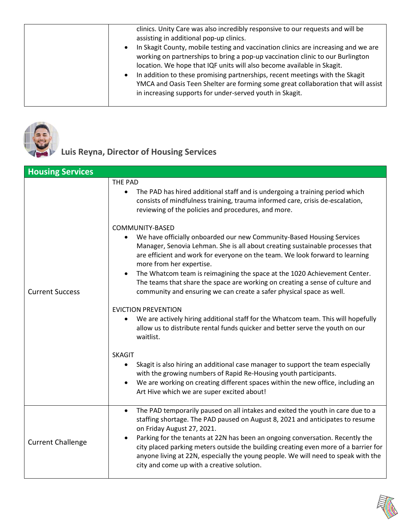| $\bullet$<br>$\bullet$ | clinics. Unity Care was also incredibly responsive to our requests and will be<br>assisting in additional pop-up clinics.<br>In Skagit County, mobile testing and vaccination clinics are increasing and we are<br>working on partnerships to bring a pop-up vaccination clinic to our Burlington<br>location. We hope that IQF units will also become available in Skagit.<br>In addition to these promising partnerships, recent meetings with the Skagit<br>YMCA and Oasis Teen Shelter are forming some great collaboration that will assist<br>in increasing supports for under-served youth in Skagit. |
|------------------------|--------------------------------------------------------------------------------------------------------------------------------------------------------------------------------------------------------------------------------------------------------------------------------------------------------------------------------------------------------------------------------------------------------------------------------------------------------------------------------------------------------------------------------------------------------------------------------------------------------------|
|------------------------|--------------------------------------------------------------------------------------------------------------------------------------------------------------------------------------------------------------------------------------------------------------------------------------------------------------------------------------------------------------------------------------------------------------------------------------------------------------------------------------------------------------------------------------------------------------------------------------------------------------|



## **Luis Reyna, Director of Housing Services**

| <b>Housing Services</b>  |                                                                                                                                                                                                                                                                                                                                                                                                                                                                                                                                                       |
|--------------------------|-------------------------------------------------------------------------------------------------------------------------------------------------------------------------------------------------------------------------------------------------------------------------------------------------------------------------------------------------------------------------------------------------------------------------------------------------------------------------------------------------------------------------------------------------------|
| <b>Current Success</b>   | THE PAD<br>The PAD has hired additional staff and is undergoing a training period which<br>$\bullet$<br>consists of mindfulness training, trauma informed care, crisis de-escalation,<br>reviewing of the policies and procedures, and more.                                                                                                                                                                                                                                                                                                          |
|                          | COMMUNITY-BASED<br>We have officially onboarded our new Community-Based Housing Services<br>$\bullet$<br>Manager, Senovia Lehman. She is all about creating sustainable processes that<br>are efficient and work for everyone on the team. We look forward to learning<br>more from her expertise.<br>The Whatcom team is reimagining the space at the 1020 Achievement Center.<br>$\bullet$<br>The teams that share the space are working on creating a sense of culture and<br>community and ensuring we can create a safer physical space as well. |
|                          | <b>EVICTION PREVENTION</b><br>We are actively hiring additional staff for the Whatcom team. This will hopefully<br>allow us to distribute rental funds quicker and better serve the youth on our<br>waitlist.                                                                                                                                                                                                                                                                                                                                         |
|                          | <b>SKAGIT</b><br>Skagit is also hiring an additional case manager to support the team especially<br>$\bullet$<br>with the growing numbers of Rapid Re-Housing youth participants.<br>We are working on creating different spaces within the new office, including an<br>Art Hive which we are super excited about!                                                                                                                                                                                                                                    |
| <b>Current Challenge</b> | The PAD temporarily paused on all intakes and exited the youth in care due to a<br>$\bullet$<br>staffing shortage. The PAD paused on August 8, 2021 and anticipates to resume<br>on Friday August 27, 2021.<br>Parking for the tenants at 22N has been an ongoing conversation. Recently the<br>city placed parking meters outside the building creating even more of a barrier for<br>anyone living at 22N, especially the young people. We will need to speak with the<br>city and come up with a creative solution.                                |

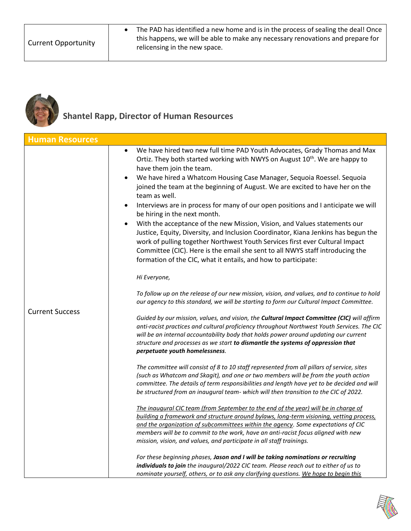• The PAD has identified a new home and is in the process of sealing the deal! Once this happens, we will be able to make any necessary renovations and prepare for relicensing in the new space.



### **Shantel Rapp, Director of Human Resources**

| <b>Human Resources</b> |                                                                                                                                                                                                                                                                                                                                                                                                                                                                                                                                                                                                                                                                                                                                                                                                                                                                                                                                                                                                                                                                                                                                                                                                                                                                                                                                                                                                                                                                                                                                                                                                                                                                                                                                                                                                                                                                                                                                                                                                                                                                                                                                                                                                                                                                                                                                                                                                                                                                                                                                    |
|------------------------|------------------------------------------------------------------------------------------------------------------------------------------------------------------------------------------------------------------------------------------------------------------------------------------------------------------------------------------------------------------------------------------------------------------------------------------------------------------------------------------------------------------------------------------------------------------------------------------------------------------------------------------------------------------------------------------------------------------------------------------------------------------------------------------------------------------------------------------------------------------------------------------------------------------------------------------------------------------------------------------------------------------------------------------------------------------------------------------------------------------------------------------------------------------------------------------------------------------------------------------------------------------------------------------------------------------------------------------------------------------------------------------------------------------------------------------------------------------------------------------------------------------------------------------------------------------------------------------------------------------------------------------------------------------------------------------------------------------------------------------------------------------------------------------------------------------------------------------------------------------------------------------------------------------------------------------------------------------------------------------------------------------------------------------------------------------------------------------------------------------------------------------------------------------------------------------------------------------------------------------------------------------------------------------------------------------------------------------------------------------------------------------------------------------------------------------------------------------------------------------------------------------------------------|
| <b>Current Success</b> | We have hired two new full time PAD Youth Advocates, Grady Thomas and Max<br>$\bullet$<br>Ortiz. They both started working with NWYS on August 10 <sup>th</sup> . We are happy to<br>have them join the team.<br>We have hired a Whatcom Housing Case Manager, Sequoia Roessel. Sequoia<br>joined the team at the beginning of August. We are excited to have her on the<br>team as well.<br>Interviews are in process for many of our open positions and I anticipate we will<br>be hiring in the next month.<br>With the acceptance of the new Mission, Vision, and Values statements our<br>Justice, Equity, Diversity, and Inclusion Coordinator, Kiana Jenkins has begun the<br>work of pulling together Northwest Youth Services first ever Cultural Impact<br>Committee (CIC). Here is the email she sent to all NWYS staff introducing the<br>formation of the CIC, what it entails, and how to participate:<br>Hi Everyone,<br>To follow up on the release of our new mission, vision, and values, and to continue to hold<br>our agency to this standard, we will be starting to form our Cultural Impact Committee.<br>Guided by our mission, values, and vision, the Cultural Impact Committee (CIC) will affirm<br>anti-racist practices and cultural proficiency throughout Northwest Youth Services. The CIC<br>will be an internal accountability body that holds power around updating our current<br>structure and processes as we start to dismantle the systems of oppression that<br>perpetuate youth homelessness.<br>The committee will consist of 8 to 10 staff represented from all pillars of service, sites<br>(such as Whatcom and Skagit), and one or two members will be from the youth action<br>committee. The details of term responsibilities and length have yet to be decided and will<br>be structured from an inaugural team- which will then transition to the CIC of 2022.<br>The inaugural CIC team (from September to the end of the year) will be in charge of<br>building a framework and structure around bylaws, long-term visioning, vetting process,<br>and the organization of subcommittees within the agency. Some expectations of CIC<br>members will be to commit to the work, have an anti-racist focus aligned with new<br>mission, vision, and values, and participate in all staff trainings.<br>For these beginning phases, Jason and I will be taking nominations or recruiting<br>individuals to join the inaugural/2022 CIC team. Please reach out to either of us to |
|                        | nominate yourself, others, or to ask any clarifying questions. We hope to begin this                                                                                                                                                                                                                                                                                                                                                                                                                                                                                                                                                                                                                                                                                                                                                                                                                                                                                                                                                                                                                                                                                                                                                                                                                                                                                                                                                                                                                                                                                                                                                                                                                                                                                                                                                                                                                                                                                                                                                                                                                                                                                                                                                                                                                                                                                                                                                                                                                                               |

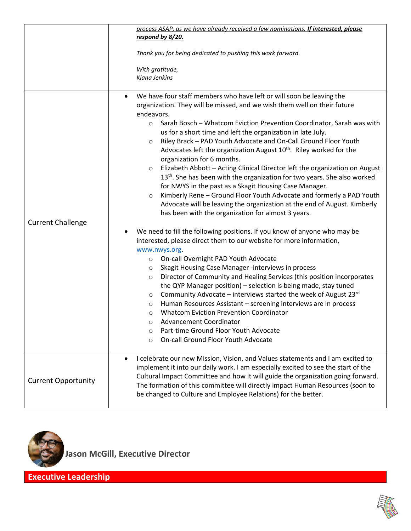|                            | process ASAP, as we have already received a few nominations. If interested, please                                                                                                                                                                                                                                                                                                                                                                                                                                                                                                                                                                                                                                                                                                                                                                          |
|----------------------------|-------------------------------------------------------------------------------------------------------------------------------------------------------------------------------------------------------------------------------------------------------------------------------------------------------------------------------------------------------------------------------------------------------------------------------------------------------------------------------------------------------------------------------------------------------------------------------------------------------------------------------------------------------------------------------------------------------------------------------------------------------------------------------------------------------------------------------------------------------------|
|                            | respond by 8/20.                                                                                                                                                                                                                                                                                                                                                                                                                                                                                                                                                                                                                                                                                                                                                                                                                                            |
|                            | Thank you for being dedicated to pushing this work forward.                                                                                                                                                                                                                                                                                                                                                                                                                                                                                                                                                                                                                                                                                                                                                                                                 |
|                            | With gratitude,                                                                                                                                                                                                                                                                                                                                                                                                                                                                                                                                                                                                                                                                                                                                                                                                                                             |
|                            | Kiana Jenkins                                                                                                                                                                                                                                                                                                                                                                                                                                                                                                                                                                                                                                                                                                                                                                                                                                               |
|                            | We have four staff members who have left or will soon be leaving the<br>$\bullet$<br>organization. They will be missed, and we wish them well on their future<br>endeavors.<br>Sarah Bosch - Whatcom Eviction Prevention Coordinator, Sarah was with<br>$\circ$<br>us for a short time and left the organization in late July.<br>Riley Brack - PAD Youth Advocate and On-Call Ground Floor Youth<br>$\circ$<br>Advocates left the organization August 10 <sup>th</sup> . Riley worked for the<br>organization for 6 months.<br>Elizabeth Abbott - Acting Clinical Director left the organization on August<br>$\circ$<br>13 <sup>th</sup> . She has been with the organization for two years. She also worked<br>for NWYS in the past as a Skagit Housing Case Manager.<br>Kimberly Rene - Ground Floor Youth Advocate and formerly a PAD Youth<br>$\circ$ |
|                            | Advocate will be leaving the organization at the end of August. Kimberly                                                                                                                                                                                                                                                                                                                                                                                                                                                                                                                                                                                                                                                                                                                                                                                    |
|                            | has been with the organization for almost 3 years.                                                                                                                                                                                                                                                                                                                                                                                                                                                                                                                                                                                                                                                                                                                                                                                                          |
| <b>Current Challenge</b>   |                                                                                                                                                                                                                                                                                                                                                                                                                                                                                                                                                                                                                                                                                                                                                                                                                                                             |
|                            | We need to fill the following positions. If you know of anyone who may be                                                                                                                                                                                                                                                                                                                                                                                                                                                                                                                                                                                                                                                                                                                                                                                   |
|                            | interested, please direct them to our website for more information,                                                                                                                                                                                                                                                                                                                                                                                                                                                                                                                                                                                                                                                                                                                                                                                         |
|                            | www.nwys.org.                                                                                                                                                                                                                                                                                                                                                                                                                                                                                                                                                                                                                                                                                                                                                                                                                                               |
|                            | On-call Overnight PAD Youth Advocate<br>$\circ$                                                                                                                                                                                                                                                                                                                                                                                                                                                                                                                                                                                                                                                                                                                                                                                                             |
|                            | Skagit Housing Case Manager -interviews in process<br>$\circ$                                                                                                                                                                                                                                                                                                                                                                                                                                                                                                                                                                                                                                                                                                                                                                                               |
|                            | Director of Community and Healing Services (this position incorporates<br>$\circ$<br>the QYP Manager position) - selection is being made, stay tuned                                                                                                                                                                                                                                                                                                                                                                                                                                                                                                                                                                                                                                                                                                        |
|                            | Community Advocate – interviews started the week of August $23^{rd}$<br>$\circ$                                                                                                                                                                                                                                                                                                                                                                                                                                                                                                                                                                                                                                                                                                                                                                             |
|                            | Human Resources Assistant - screening interviews are in process<br>$\circ$                                                                                                                                                                                                                                                                                                                                                                                                                                                                                                                                                                                                                                                                                                                                                                                  |
|                            | <b>Whatcom Eviction Prevention Coordinator</b><br>O                                                                                                                                                                                                                                                                                                                                                                                                                                                                                                                                                                                                                                                                                                                                                                                                         |
|                            | Advancement Coordinator<br>O                                                                                                                                                                                                                                                                                                                                                                                                                                                                                                                                                                                                                                                                                                                                                                                                                                |
|                            | Part-time Ground Floor Youth Advocate<br>O                                                                                                                                                                                                                                                                                                                                                                                                                                                                                                                                                                                                                                                                                                                                                                                                                  |
|                            | On-call Ground Floor Youth Advocate<br>$\circ$                                                                                                                                                                                                                                                                                                                                                                                                                                                                                                                                                                                                                                                                                                                                                                                                              |
| <b>Current Opportunity</b> | I celebrate our new Mission, Vision, and Values statements and I am excited to<br>$\bullet$<br>implement it into our daily work. I am especially excited to see the start of the<br>Cultural Impact Committee and how it will guide the organization going forward.<br>The formation of this committee will directly impact Human Resources (soon to<br>be changed to Culture and Employee Relations) for the better.                                                                                                                                                                                                                                                                                                                                                                                                                                       |



 **Jason McGill, Executive Director**

**Executive Leadership**